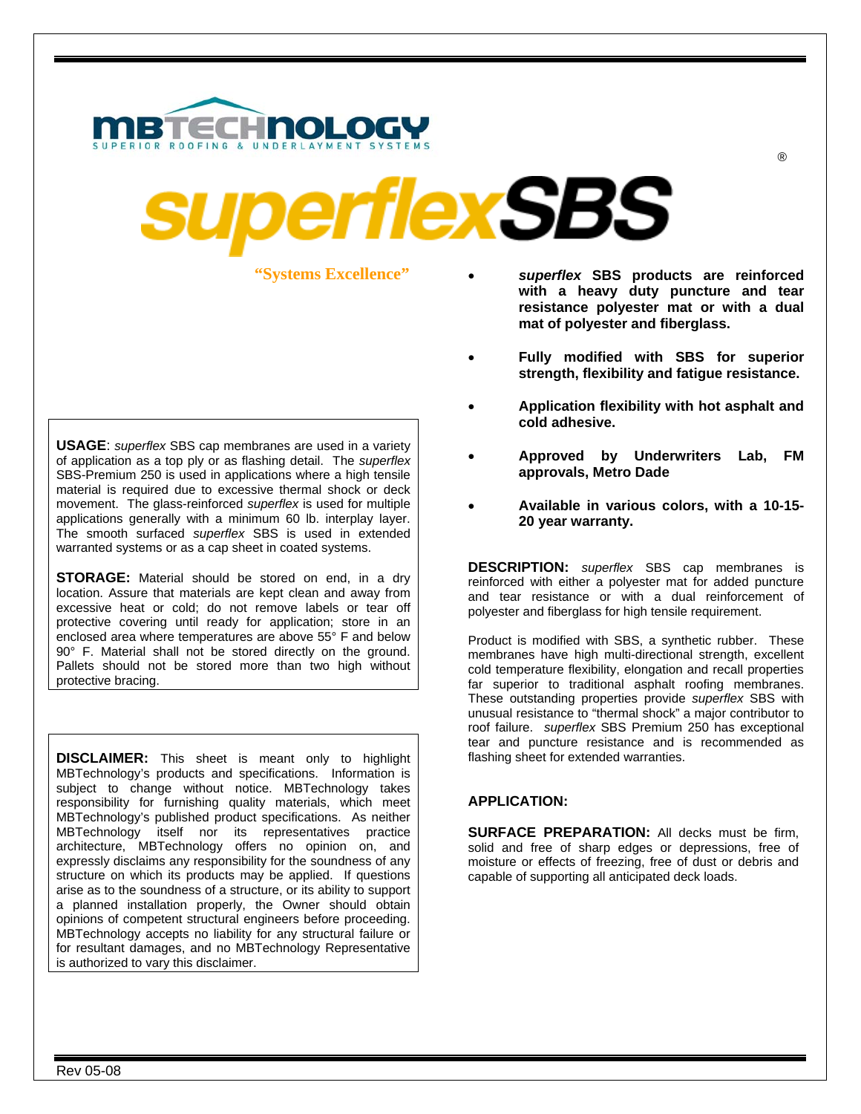

## *perflexSBS*

 **"Systems Excellence"** 

**USAGE**: *superflex* SBS cap membranes are used in a variety of application as a top ply or as flashing detail. The *superflex* SBS-Premium 250 is used in applications where a high tensile material is required due to excessive thermal shock or deck movement. The glass-reinforced *superflex* is used for multiple applications generally with a minimum 60 lb. interplay layer. The smooth surfaced *superflex* SBS is used in extended warranted systems or as a cap sheet in coated systems.

**STORAGE:** Material should be stored on end, in a dry location. Assure that materials are kept clean and away from excessive heat or cold; do not remove labels or tear off protective covering until ready for application; store in an enclosed area where temperatures are above 55° F and below 90° F. Material shall not be stored directly on the ground. Pallets should not be stored more than two high without protective bracing.

**DISCLAIMER:** This sheet is meant only to highlight MBTechnology's products and specifications. Information is subject to change without notice. MBTechnology takes responsibility for furnishing quality materials, which meet MBTechnology's published product specifications. As neither MBTechnology itself nor its representatives practice architecture, MBTechnology offers no opinion on, and expressly disclaims any responsibility for the soundness of any structure on which its products may be applied. If questions arise as to the soundness of a structure, or its ability to support a planned installation properly, the Owner should obtain opinions of competent structural engineers before proceeding. MBTechnology accepts no liability for any structural failure or for resultant damages, and no MBTechnology Representative is authorized to vary this disclaimer.

- *superflex* **SBS products are reinforced with a heavy duty puncture and tear resistance polyester mat or with a dual mat of polyester and fiberglass.**
- **Fully modified with SBS for superior strength, flexibility and fatigue resistance.**
- **Application flexibility with hot asphalt and cold adhesive.**
- **Approved by Underwriters Lab, FM approvals, Metro Dade**
- **Available in various colors, with a 10-15- 20 year warranty.**

**DESCRIPTION:** *superflex* SBS cap membranes is reinforced with either a polyester mat for added puncture and tear resistance or with a dual reinforcement of polyester and fiberglass for high tensile requirement.

Product is modified with SBS, a synthetic rubber. These membranes have high multi-directional strength, excellent cold temperature flexibility, elongation and recall properties far superior to traditional asphalt roofing membranes. These outstanding properties provide *superflex* SBS with unusual resistance to "thermal shock" a major contributor to roof failure. *superflex* SBS Premium 250 has exceptional tear and puncture resistance and is recommended as flashing sheet for extended warranties.

## **APPLICATION:**

**SURFACE PREPARATION:** All decks must be firm, solid and free of sharp edges or depressions, free of moisture or effects of freezing, free of dust or debris and capable of supporting all anticipated deck loads.

®